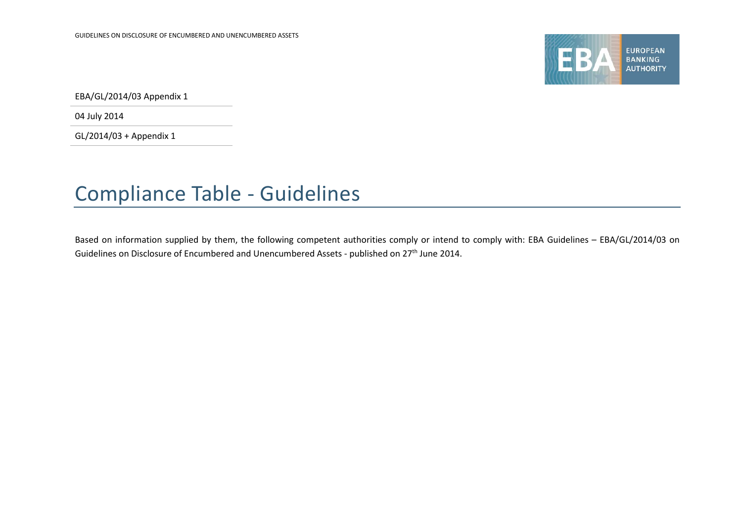

EBA/GL/2014/03 Appendix 1

04 July 2014

GL/2014/03 + Appendix 1

## Compliance Table - Guidelines

Based on information supplied by them, the following competent authorities comply or intend to comply with: EBA Guidelines – EBA/GL/2014/03 on Guidelines on Disclosure of Encumbered and Unencumbered Assets - published on 27<sup>th</sup> June 2014.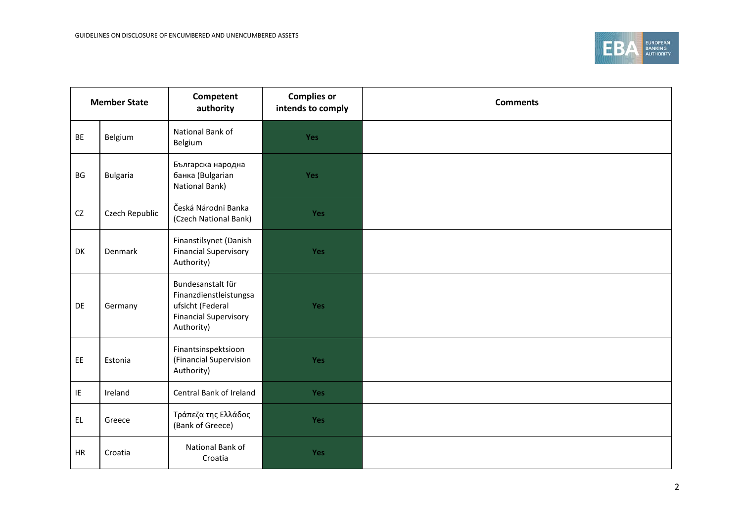

| <b>Member State</b> |                 | Competent<br>authority                                                                                        | <b>Complies or</b><br>intends to comply | <b>Comments</b> |
|---------------------|-----------------|---------------------------------------------------------------------------------------------------------------|-----------------------------------------|-----------------|
| BE                  | Belgium         | National Bank of<br>Belgium                                                                                   | <b>Yes</b>                              |                 |
| BG                  | <b>Bulgaria</b> | Българска народна<br>банка (Bulgarian<br>National Bank)                                                       | <b>Yes</b>                              |                 |
| CZ                  | Czech Republic  | Česká Národni Banka<br>(Czech National Bank)                                                                  | Yes                                     |                 |
| DK                  | Denmark         | Finanstilsynet (Danish<br><b>Financial Supervisory</b><br>Authority)                                          | <b>Yes</b>                              |                 |
| DE                  | Germany         | Bundesanstalt für<br>Finanzdienstleistungsa<br>ufsicht (Federal<br><b>Financial Supervisory</b><br>Authority) | Yes                                     |                 |
| EE                  | Estonia         | Finantsinspektsioon<br>(Financial Supervision<br>Authority)                                                   | <b>Yes</b>                              |                 |
| IE                  | Ireland         | Central Bank of Ireland                                                                                       | Yes                                     |                 |
| EL.                 | Greece          | Τράπεζα της Ελλάδος<br>(Bank of Greece)                                                                       | Yes                                     |                 |
| HR                  | Croatia         | National Bank of<br>Croatia                                                                                   | <b>Yes</b>                              |                 |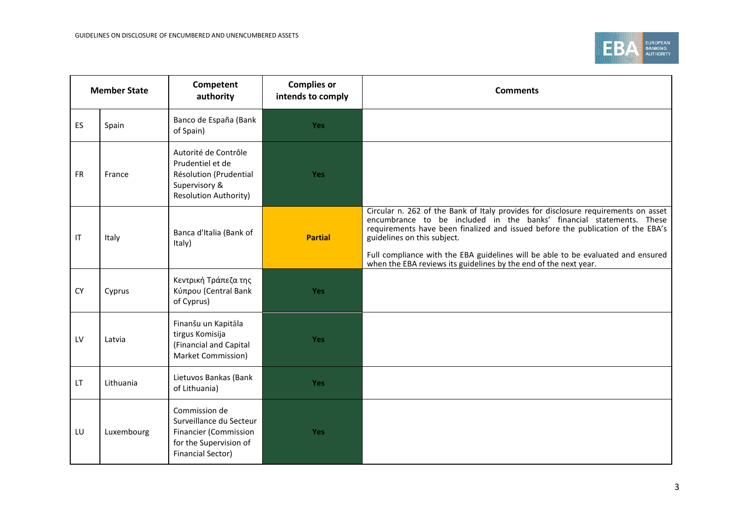

| <b>Member State</b> |            | Competent<br>authority                                                                                                         | <b>Complies or</b><br>intends to comply | <b>Comments</b>                                                                                                                                                                                                                                                                                                                                                                                                                      |
|---------------------|------------|--------------------------------------------------------------------------------------------------------------------------------|-----------------------------------------|--------------------------------------------------------------------------------------------------------------------------------------------------------------------------------------------------------------------------------------------------------------------------------------------------------------------------------------------------------------------------------------------------------------------------------------|
| <b>ES</b>           | Spain      | Banco de España (Bank<br>of Spain)                                                                                             | <b>Yes</b>                              |                                                                                                                                                                                                                                                                                                                                                                                                                                      |
| <b>FR</b>           | France     | Autorité de Contrôle<br>Prudentiel et de<br>Résolution (Prudential<br>Supervisory &<br><b>Resolution Authority)</b>            | <b>Yes</b>                              |                                                                                                                                                                                                                                                                                                                                                                                                                                      |
| IT                  | Italy      | Banca d'Italia (Bank of<br>Italy)                                                                                              | <b>Partial</b>                          | Circular n. 262 of the Bank of Italy provides for disclosure requirements on asset<br>encumbrance to be included in the banks' financial statements. These<br>requirements have been finalized and issued before the publication of the EBA's<br>guidelines on this subject.<br>Full compliance with the EBA guidelines will be able to be evaluated and ensured<br>when the EBA reviews its guidelines by the end of the next year. |
| <b>CY</b>           | Cyprus     | Κεντρική Τράπεζα της<br>Κύπρου (Central Bank<br>of Cyprus)                                                                     | Yes                                     |                                                                                                                                                                                                                                                                                                                                                                                                                                      |
| LV                  | Latvia     | Finanšu un Kapitāla<br>tirgus Komisija<br>(Financial and Capital<br>Market Commission)                                         | Yes                                     |                                                                                                                                                                                                                                                                                                                                                                                                                                      |
| LT.                 | Lithuania  | Lietuvos Bankas (Bank<br>of Lithuania)                                                                                         | <b>Yes</b>                              |                                                                                                                                                                                                                                                                                                                                                                                                                                      |
| LU                  | Luxembourg | Commission de<br>Surveillance du Secteur<br><b>Financier (Commission</b><br>for the Supervision of<br><b>Financial Sector)</b> | <b>Yes</b>                              |                                                                                                                                                                                                                                                                                                                                                                                                                                      |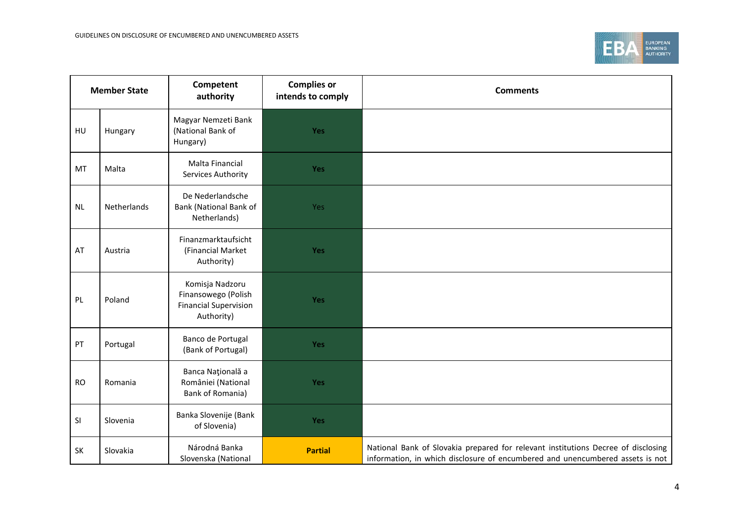

| <b>Member State</b> |             | Competent<br>authority                                                               | <b>Complies or</b><br>intends to comply | <b>Comments</b>                                                                                                                                                    |
|---------------------|-------------|--------------------------------------------------------------------------------------|-----------------------------------------|--------------------------------------------------------------------------------------------------------------------------------------------------------------------|
| HU                  | Hungary     | Magyar Nemzeti Bank<br>(National Bank of<br>Hungary)                                 | Yes                                     |                                                                                                                                                                    |
| MT                  | Malta       | Malta Financial<br>Services Authority                                                | Yes                                     |                                                                                                                                                                    |
| <b>NL</b>           | Netherlands | De Nederlandsche<br>Bank (National Bank of<br>Netherlands)                           | Yes                                     |                                                                                                                                                                    |
| AT                  | Austria     | Finanzmarktaufsicht<br>(Financial Market<br>Authority)                               | Yes                                     |                                                                                                                                                                    |
| PL                  | Poland      | Komisja Nadzoru<br>Finansowego (Polish<br><b>Financial Supervision</b><br>Authority) | Yes                                     |                                                                                                                                                                    |
| PT                  | Portugal    | Banco de Portugal<br>(Bank of Portugal)                                              | Yes                                     |                                                                                                                                                                    |
| <b>RO</b>           | Romania     | Banca Națională a<br>României (National<br>Bank of Romania)                          | Yes                                     |                                                                                                                                                                    |
| SI                  | Slovenia    | Banka Slovenije (Bank<br>of Slovenia)                                                | Yes                                     |                                                                                                                                                                    |
| SK                  | Slovakia    | Národná Banka<br>Slovenska (National                                                 | <b>Partial</b>                          | National Bank of Slovakia prepared for relevant institutions Decree of disclosing<br>information, in which disclosure of encumbered and unencumbered assets is not |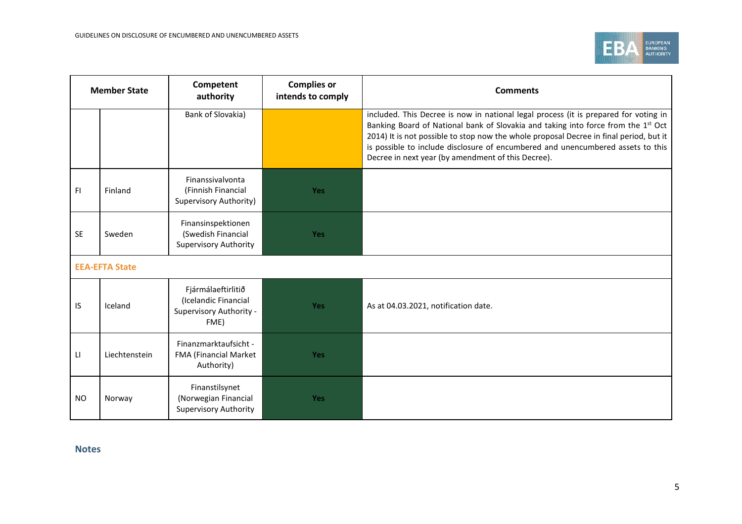

| <b>Member State</b> |                       | Competent<br>authority                                                        | <b>Complies or</b><br>intends to comply | <b>Comments</b>                                                                                                                                                                                                                                                                                                                                                                                              |  |
|---------------------|-----------------------|-------------------------------------------------------------------------------|-----------------------------------------|--------------------------------------------------------------------------------------------------------------------------------------------------------------------------------------------------------------------------------------------------------------------------------------------------------------------------------------------------------------------------------------------------------------|--|
|                     |                       | Bank of Slovakia)                                                             |                                         | included. This Decree is now in national legal process (it is prepared for voting in<br>Banking Board of National bank of Slovakia and taking into force from the 1st Oct<br>2014) It is not possible to stop now the whole proposal Decree in final period, but it<br>is possible to include disclosure of encumbered and unencumbered assets to this<br>Decree in next year (by amendment of this Decree). |  |
| FI.                 | Finland               | Finanssivalvonta<br>(Finnish Financial<br>Supervisory Authority)              | <b>Yes</b>                              |                                                                                                                                                                                                                                                                                                                                                                                                              |  |
| <b>SE</b>           | Sweden                | Finansinspektionen<br>(Swedish Financial<br><b>Supervisory Authority</b>      | Yes                                     |                                                                                                                                                                                                                                                                                                                                                                                                              |  |
|                     | <b>EEA-EFTA State</b> |                                                                               |                                         |                                                                                                                                                                                                                                                                                                                                                                                                              |  |
| IS                  | Iceland               | Fjármálaeftirlitið<br>(Icelandic Financial<br>Supervisory Authority -<br>FME) | <b>Yes</b>                              | As at 04.03.2021, notification date.                                                                                                                                                                                                                                                                                                                                                                         |  |
| LI.                 | Liechtenstein         | Finanzmarktaufsicht -<br>FMA (Financial Market<br>Authority)                  | Yes                                     |                                                                                                                                                                                                                                                                                                                                                                                                              |  |
| NO.                 | Norway                | Finanstilsynet<br>(Norwegian Financial<br>Supervisory Authority               | <b>Yes</b>                              |                                                                                                                                                                                                                                                                                                                                                                                                              |  |

**Notes**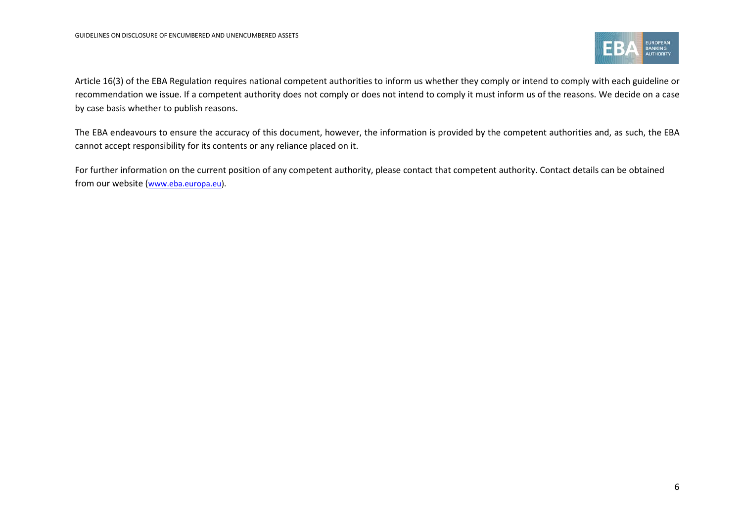

Article 16(3) of the EBA Regulation requires national competent authorities to inform us whether they comply or intend to comply with each guideline or recommendation we issue. If a competent authority does not comply or does not intend to comply it must inform us of the reasons. We decide on a case by case basis whether to publish reasons.

The EBA endeavours to ensure the accuracy of this document, however, the information is provided by the competent authorities and, as such, the EBA cannot accept responsibility for its contents or any reliance placed on it.

For further information on the current position of any competent authority, please contact that competent authority. Contact details can be obtained from our website ([www.eba.europa.eu\)](http://www.eba.europa.eu/).